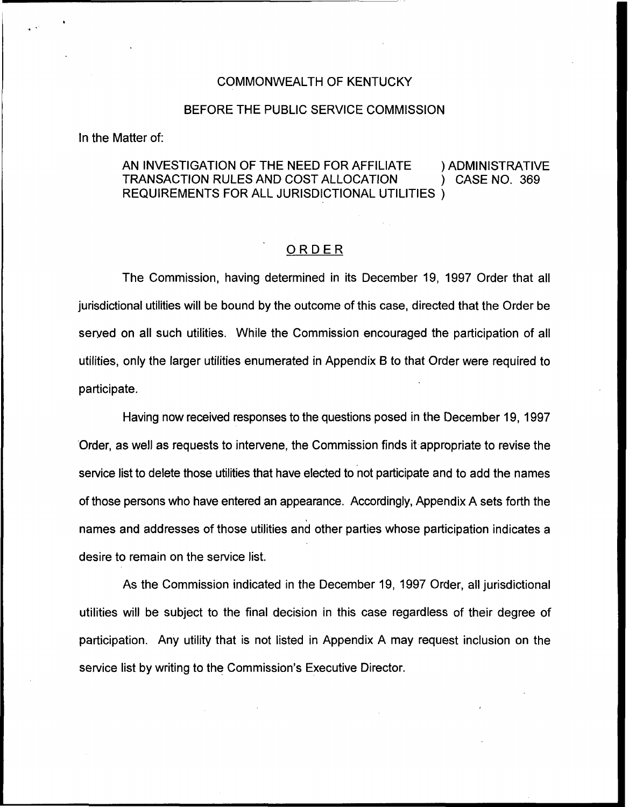#### COMMONWEALTH OF KENTUCKY

#### BEFORE THE PUBLIC SERVICE COMMISSION

In the Matter of:

## AN INVESTIGATION OF THE NEED FOR AFFILIATE (ADMINISTRATIVE TRANSACTION RULES AND COST ALLOCATION TRANSACTION RULES AND COST ALLOCATION REQUIREMENTS FOR ALL. JURISDICTIONAL UTILITIES )

### ORDER

The Commission, having determined in its December 19, 1997 Order that all jurisdictional utilities will be bound by the outcome of this case, directed that the Order be served on all such utilities. While the Commission encouraged the participation of all utilities, only the larger utilities enumerated in Appendix 8 to that Order were required to participate.

Having now received responses to the questions posed in the December 19, 1997 Order, as well as requests to intervene, the Commission finds it appropriate to revise the service list to delete those utilities that have elected to not participate and to add the names of those persons who have entered an appearance. Accordingly, Appendix A sets forth the names and addresses of those utilities and other parties whose participation indicates a desire to remain on the service list.

As the Commission indicated in the December 19, 1997 Order, all jurisdictional utilities will be subject to the final decision in this case regardless of their degree of participation. Any utility that is not listed in Appendix A may request inclusion on the service list by writing to the Commission's Executive Director.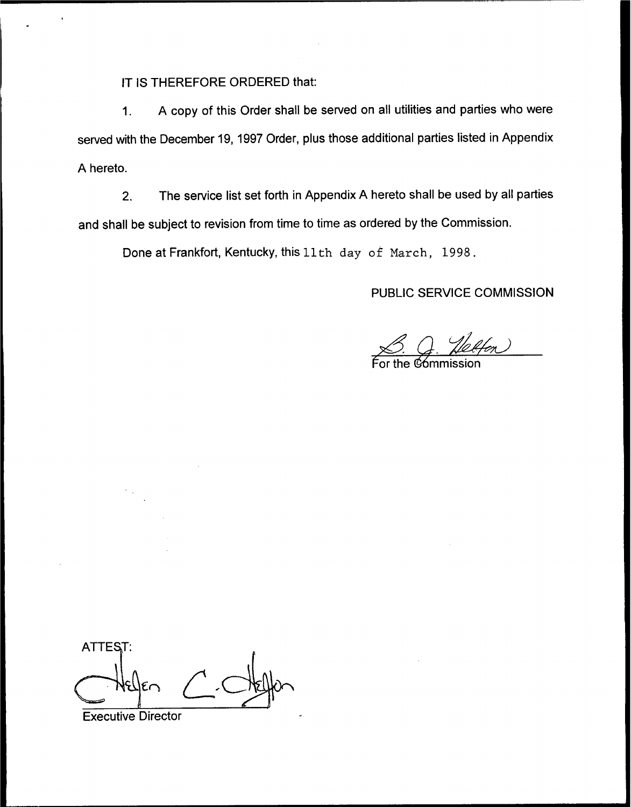IT IS THEREFORE ORDERED that:

1. <sup>A</sup> copy of this Order shall be served on all utilities and parties who were served with the December 19, 1997 Order, plus those additional parties listed in Appendix A hereto.

2. The service list set forth in Appendix A hereto shall be used by all parties and shall be subject to revision from time to time as ordered by the Commission.

Done at Frankfort, Kentucky, this 11th day of March, 1998.

# PUBLIC SERVICE COMMISSION

<u>S. G. Ye</u><br>For the commission The COMMI<br>*The Commi*<br>Sission

ATTEST:

Executive Director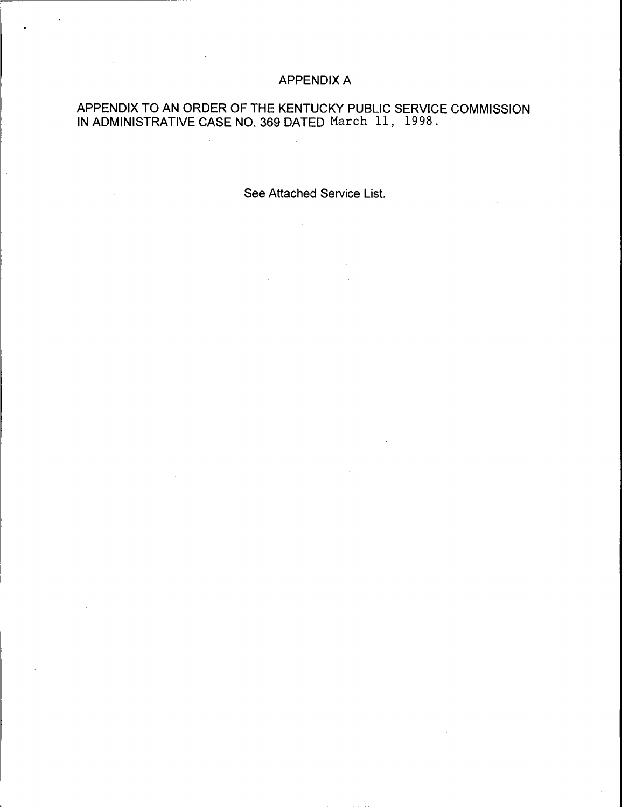# APPENDIX A

## APPENDIX TO AN ORDER OF THE KENTUCKY PUBLIC SERVICE COMMISSION IN ADMINISTRATIVE CASE NO 369 DATED Narch 11, 1998.

 $\mathcal{L}_{\mathcal{L}}$ 

See Attached Service List.

 $\Delta \phi = 0.01$  and  $\Delta \phi = 0.01$ 

 $\mathcal{L}$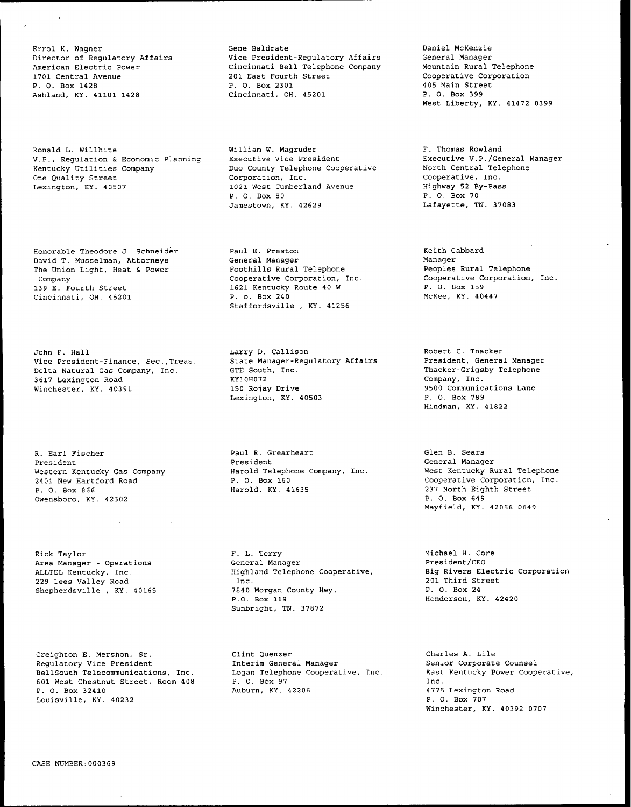Errol K. Wagner Director of Regulatory Affairs American Electric Power 1701 Central Avenue P. O. Box 1428 Ashland, KY. 41101 1428

Ronald L. Willhite V.P., Regulation & Economic Planning Kentucky Utilities Company One Quality Street Lexington, KY. 40507

Honorable Theodore J. Schneider David T. Musselman, Attorneys The Union Light, Heat & Power Company 139 E. Fourth Street Cincinnati, OH. 45201

John F. Hall Vice President-Finance, Sec.,Treas. Delta Natural Gas Company, Inc. 3617 Lexington Road Winchester, KY. 40391

R. Earl Fischer President Western Kentucky Gas Company 2401 New Hartford Road P. O. Box 866 Owensboro, KY. 42302

Rick Taylor Area Manager — Operations ALLTEL Kentucky, Inc. 229 Lees Valley Road Shepherdsville , KY. 40165

Creighton E. Nershon, Sr. Regulatory Vice President BellSouth Telecommunications, Inc. 601 West Chestnut Street, Room 408 P. O. Box 32410 Louisville, KY. 40232

Gene Baldrate Vice President-Regulatory Affairs Cincinnati Bell Telephone Company 201 East Fourth Street P. O. Box 2301 Cincinnati, OH. 45201

William W. Nagruder Executive Vice President Duo County Telephone Cooperative Corporation, Inc. 1021 West Cumberland Avenue P. O. Box 80 Jamestown, KY. 42629

Paul E. Preston General Manager Foothills Rural Telephone Cooperative Corporation, Inc. 1621 Kentucky Route 40 <sup>W</sup> P. o. Box 240 Staffordsville , KY. 41256

Larry D. Callison State Manager-Regulatory Affairs GTE South, Inc. KY10H072 150 Rojay Drive Lexington, KY. 40503

Paul R. Grearheart President Harold Telephone Company, Inc. P. O. Box 160 Harold, KY. 41635

F. L. Terry General Manager Highland Telephone Cooperative, Inc. 7840 Morgan County Hwy. P.O. Box 119 Sunbright, TN. 37872

Clint Quenzer Interim General Manager Logan Telephone Cooperative, Inc. P. O. Box 97 Auburn, KY. 42206

Daniel McKenzie General Manager Mountain Rural Telephone Cooperative Corporation 405 Main Street P. O. Box 399 West Liberty, KY. 41472 0399

F. Thomas Rowland Executive V.P./General Manager North Central Telephone Cooperative, Inc. Highway 52 By-Pass P. O. Box 70 Lafayette, TN. 37083

Keith Gabbard Manager Peoples Rural Telephone Cooperative Corporation, Inc. P. O. Box 159 McKee, KY. 40447

Robert C. Thacker President, General Manager Thacker-Grigsby Telephone Company, Inc. 9500 Communications Lane P. O. Box 789 Hindman, KY. 41822

Glen B. Sears General Manager West Kentucky Rural Telephone Cooperative Corporation, Inc. 237 North Eighth Street P. O. Box 649 Nayfield, KY. 42066 0649

Michael H. Core President/CEO Big Rivers Electric Corporation 201 Third Street P. O. Box 24 Henderson, KY. 42420

Charles A. Lile Senior Corporate Counsel East Kentucky Power Coopexative, Inc. 4775 Lexington Road P. O. Box 707 Winchester, KY. 40392 0707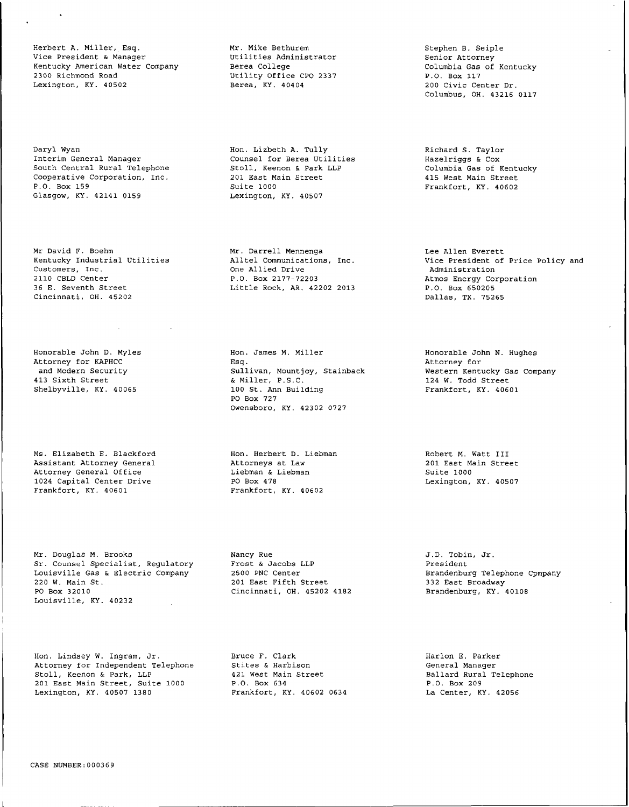Herbert A. Miller, Esq. Vice President & Manage Kentucky American Water Company 2300 Richmond Road Lexington, KY. 40502

Daryl Wyan Interim General Manager South Central Rural Telephon Cooperative Corporation, Inc. P.O. Box 159 Glasgow, KY. 42141 0159

Mr David F. Boehm Kentucky Industrial Utilities Customers, Inc. 2110 CBLD Center 36 E. Seventh Street Cincinnati, OH. 45202

Honorable John D. Myles Attorney for KAPHCO and Modern Security 413 Sixth Street Shelbyville, KY. 40065

Ms. Elizabeth E. Blackford Assistant Attorney Genera Attorney General Office 1024 Capital Center Drive Frankfort, KY. 40601

Nr. Douglas M. Brooks Sr. Counsel Specialist, Regulatory Louisville Gas & Electric Company <sup>220</sup> W. Main St. PO Box 32010 Louisville, KY. 40232

Hon. Lindsey W. Ingram, Jr. Attorney for Independent Telephone Stoll, Keenon & Park, LLP 201 East Main Street, Suite 1000 Lexington, KY. 40507 1380

Nr. Mike Bethurem Utilities Administrator aumin ------<br>Berea College<br>Utility Off Utility Office CPO 2337 Berea, KY. 40404

Hon. Lizbeth A. Tully Counsel for Berea Utilities Stoll, Keenon & Park LLP 201 East Main Street Suite 1000 Lexington, KY. 40507

Mr. Darrell Menneng Alltel Communications, Inc. One Allied Drive P.O. Box 2177-72203 Little Rock, AR. 42202 2013

Hon. James M. Miller Esg. Sullivan, Mountjoy, Stainback<br>& Miller, P.S.C. & Miller, P.S.C. 100 St. Ann Building PO Box 727 Owensboro, KY. 42302 0727

Hon. Herbert D. Liebman Attorneys at Law Liebman & Liebman PO Box 478<br>Po Box 478 Frankfort, KY. 40602

Nancy Rue Frost & Jacobs LLP 2500 PNC Center 201 East Fifth Street Cincinnati, OH. 45202 4182

Bruce F. Clark Stites & Harbison 421 West Main Street P.O. Box 634 Frankfort, KY. 40602 0634

Stephen B. Seiple Senior Attorney Columbia Gas of Kentucky P.O. Box 117 200 Civic Center Dr. Columbus, OH. 43216 0117

Richard S. Taylor Hazelriggs & Cox Columbia Gas of Kentucky 415 West Main Street Frankfort, KY. 40602

Lee Allen Everett Vice President of Price Policy and<br>Administration Administration Atmos Energy Corporation P.O. Box 650205 Dallas, TX. 75265

> Honorable John N. Hughes Attorney for Western Kentucky Gas Company 124 W. Todd Street Frankfort, KY. 40601

Robert M. Watt III 201 East Main Street Suite 1000 Lexington, KY. 40507

J.D. Tobin, Jr. President Brandenburg Telephone Cpmpany 332 East Broadway Brandenburg, KY. 40108

Harlon E. Parker General Manager Ballard Rural Telephone P.O. Box 209 La Center, KY. 42056